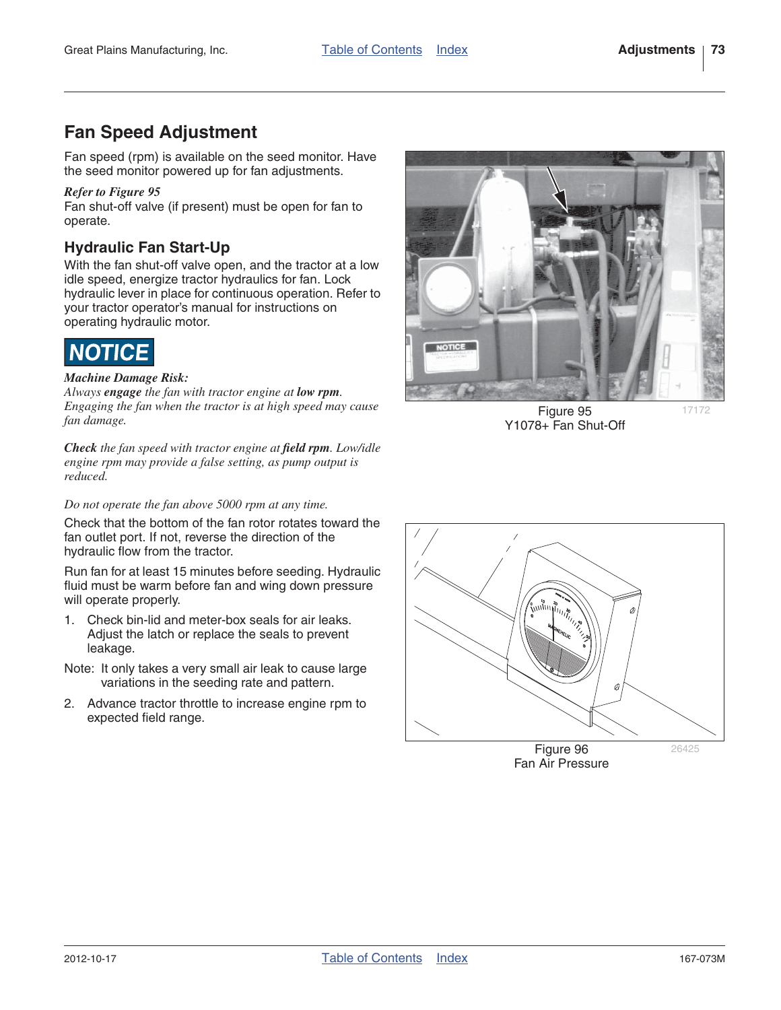17172

# **Fan Speed Adjustment**

Fan speed (rpm) is available on the seed monitor. Have the seed monitor powered up for fan adjustments.

#### *Refer to Figure 95*

Fan shut-off valve (if present) must be open for fan to operate.

## **Hydraulic Fan Start-Up**

With the fan shut-off valve open, and the tractor at a low idle speed, energize tractor hydraulics for fan. Lock hydraulic lever in place for continuous operation. Refer to your tractor operator's manual for instructions on operating hydraulic motor.



#### *Machine Damage Risk:*

*Always engage the fan with tractor engine at low rpm. Engaging the fan when the tractor is at high speed may cause fan damage.*

*Check the fan speed with tractor engine at field rpm. Low/idle engine rpm may provide a false setting, as pump output is reduced.*

#### *Do not operate the fan above 5000 rpm at any time.*

Check that the bottom of the fan rotor rotates toward the fan outlet port. If not, reverse the direction of the hydraulic flow from the tractor.

Run fan for at least 15 minutes before seeding. Hydraulic fluid must be warm before fan and wing down pressure will operate properly.

- 1. Check bin-lid and meter-box seals for air leaks. Adjust the latch or replace the seals to prevent leakage.
- Note: It only takes a very small air leak to cause large variations in the seeding rate and pattern.
- 2. Advance tractor throttle to increase engine rpm to expected field range.



Figure 95 Y1078+ Fan Shut-Off



Fan Air Pressure